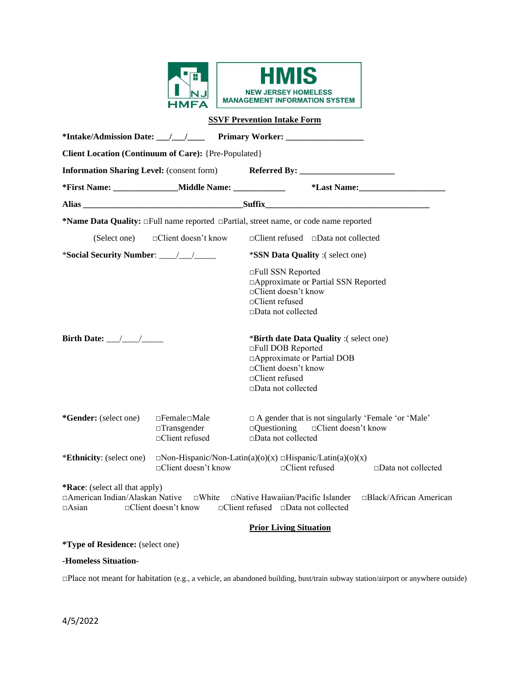

|                                                  |                                                                          | <u>SSVF Prevention intake Form</u>                                                                                                                                             |
|--------------------------------------------------|--------------------------------------------------------------------------|--------------------------------------------------------------------------------------------------------------------------------------------------------------------------------|
|                                                  |                                                                          |                                                                                                                                                                                |
|                                                  | Client Location (Continuum of Care): {Pre-Populated}                     |                                                                                                                                                                                |
|                                                  |                                                                          | Information Sharing Level: (consent form) Referred By: __________________________                                                                                              |
|                                                  | *First Name: ___________________Middle Name: ________________            | *Last Name: Manual Manual Manual Manual Manual Manual Manual Manual Manual Manual Manual Manual Manual Manual                                                                  |
|                                                  |                                                                          |                                                                                                                                                                                |
|                                                  |                                                                          | *Name Data Quality: $\Box$ Full name reported $\Box$ Partial, street name, or code name reported                                                                               |
|                                                  |                                                                          | $\Box$ Client refused $\Box$ Data not collected                                                                                                                                |
|                                                  |                                                                          | <i>*SSN Data Quality</i> :(select one)                                                                                                                                         |
|                                                  |                                                                          | □Full SSN Reported<br>□ Approximate or Partial SSN Reported<br>□Client doesn't know<br>□Client refused<br>$\square$ Data not collected                                         |
| Birth Date: $\frac{1}{\sqrt{1-\frac{1}{2}}}$     |                                                                          | <i>*Birth date Data Quality :(select one)</i><br>□Full DOB Reported<br>□ Approximate or Partial DOB<br>□Client doesn't know<br>□Client refused<br>□Data not collected          |
| *Gender: (select one)                            | $\Box$ Female $\Box$ Male<br>$\Box$ Transgender<br>$\Box$ Client refused | $\Box$ A gender that is not singularly 'Female 'or 'Male'<br>$\Box$ Questioning<br>□Client doesn't know<br>$\Box$ Data not collected                                           |
| <i>*Ethnicity:</i> (select one)                  | □Client doesn't know                                                     | $\Box$ Non-Hispanic/Non-Latin(a)(o)(x) $\Box$ Hispanic/Latin(a)(o)(x)<br>□Client refused<br>$\Box$ Data not collected                                                          |
| *Race: (select all that apply)<br>$\sqcap$ Asian |                                                                          | □American Indian/Alaskan Native □White □Native Hawaiian/Pacific Islander □Black/African American<br>$\Box$ Client doesn't know $\Box$ Client refused $\Box$ Data not collected |
|                                                  |                                                                          | <b>Prior Living Situation</b>                                                                                                                                                  |
| <i>*Type of Residence: (select one)</i>          |                                                                          |                                                                                                                                                                                |

# **-Homeless Situation-**

□Place not meant for habitation (e.g., a vehicle, an abandoned building, bust/train subway station/airport or anywhere outside)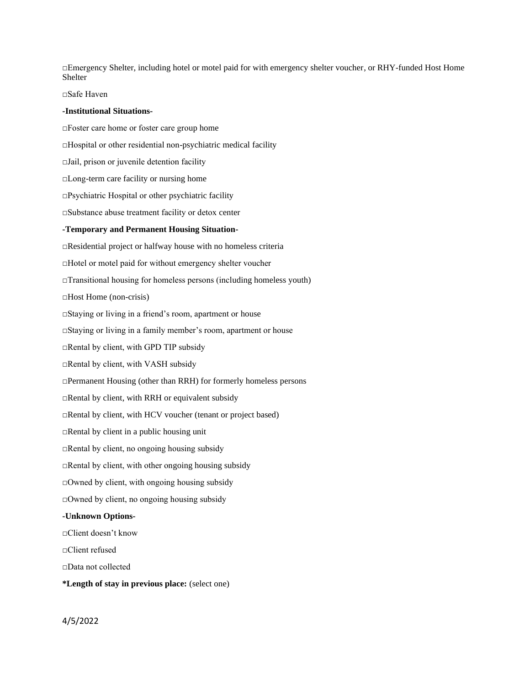□Emergency Shelter, including hotel or motel paid for with emergency shelter voucher, or RHY-funded Host Home Shelter

# □Safe Haven

#### **-Institutional Situations-**

□Foster care home or foster care group home □Hospital or other residential non-psychiatric medical facility □Jail, prison or juvenile detention facility □Long-term care facility or nursing home  $\Box$ Psychiatric Hospital or other psychiatric facility □Substance abuse treatment facility or detox center **-Temporary and Permanent Housing Situation-** □Residential project or halfway house with no homeless criteria □Hotel or motel paid for without emergency shelter voucher  $\Box$ Transitional housing for homeless persons (including homeless youth) □Host Home (non-crisis) □Staying or living in a friend's room, apartment or house □Staying or living in a family member's room, apartment or house □Rental by client, with GPD TIP subsidy □Rental by client, with VASH subsidy □Permanent Housing (other than RRH) for formerly homeless persons □Rental by client, with RRH or equivalent subsidy □Rental by client, with HCV voucher (tenant or project based) □Rental by client in a public housing unit □Rental by client, no ongoing housing subsidy  $\Box$ Rental by client, with other ongoing housing subsidy  $\Box$ Owned by client, with ongoing housing subsidy □Owned by client, no ongoing housing subsidy **-Unknown Options-** □Client doesn't know □Client refused □Data not collected

**\*Length of stay in previous place:** (select one)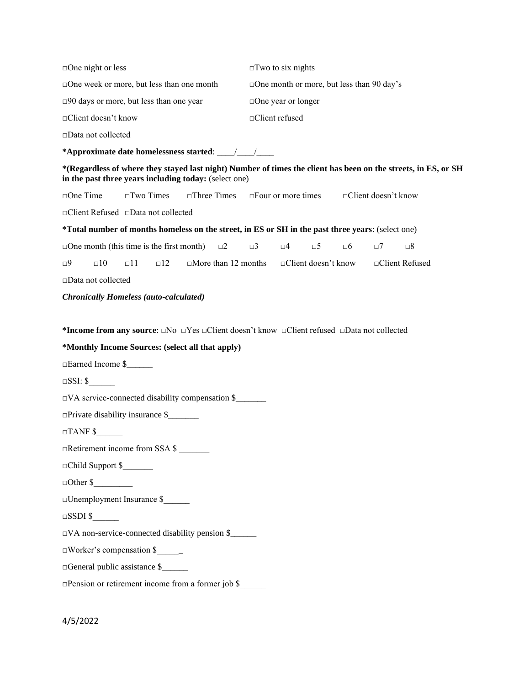| $\Box$ One night or less                                                                                                                                                | $\square$ Two to six nights                      |                         |                 |  |
|-------------------------------------------------------------------------------------------------------------------------------------------------------------------------|--------------------------------------------------|-------------------------|-----------------|--|
| □ One week or more, but less than one month                                                                                                                             | $\Box$ One month or more, but less than 90 day's |                         |                 |  |
| $\square$ 90 days or more, but less than one year                                                                                                                       | $\Box$ One year or longer                        |                         |                 |  |
| □Client doesn't know                                                                                                                                                    | □Client refused                                  |                         |                 |  |
| □Data not collected                                                                                                                                                     |                                                  |                         |                 |  |
|                                                                                                                                                                         |                                                  |                         |                 |  |
| *(Regardless of where they stayed last night) Number of times the client has been on the streets, in ES, or SH<br>in the past three years including today: (select one) |                                                  |                         |                 |  |
| □One Time<br>$\square$ Two Times<br>$\square$ Three Times                                                                                                               | $\Box$ Four or more times                        | □Client doesn't know    |                 |  |
| □Client Refused □Data not collected                                                                                                                                     |                                                  |                         |                 |  |
| *Total number of months homeless on the street, in ES or SH in the past three years: (select one)                                                                       |                                                  |                         |                 |  |
| $\Box$ One month (this time is the first month)<br>$\square$ 2                                                                                                          | $\Box$ 3<br>$\square 4$<br>$\square 5$           | $\square 6$<br>$\Box$ 7 | $\square 8$     |  |
| $\Box$ 10<br>$\Box$ 11<br>$\Box$ 12<br>$\Box$ More than 12 months<br>⊡9                                                                                                 | □Client doesn't know                             |                         | □Client Refused |  |
| $\square$ Data not collected                                                                                                                                            |                                                  |                         |                 |  |
| <b>Chronically Homeless (auto-calculated)</b>                                                                                                                           |                                                  |                         |                 |  |
|                                                                                                                                                                         |                                                  |                         |                 |  |
| *Income from any source: $\square$ No $\square$ Yes $\square$ Client doesn't know $\square$ Client refused $\square$ Data not collected                                 |                                                  |                         |                 |  |
| *Monthly Income Sources: (select all that apply)                                                                                                                        |                                                  |                         |                 |  |
| □Earned Income \$                                                                                                                                                       |                                                  |                         |                 |  |
| $\square$ SSI: \$                                                                                                                                                       |                                                  |                         |                 |  |
| $\Box$ VA service-connected disability compensation \$                                                                                                                  |                                                  |                         |                 |  |
|                                                                                                                                                                         |                                                  |                         |                 |  |
| $\Box$ Private disability insurance \$                                                                                                                                  |                                                  |                         |                 |  |
| $\Box$ TANF \$                                                                                                                                                          |                                                  |                         |                 |  |
| □Retirement income from SSA \$                                                                                                                                          |                                                  |                         |                 |  |
| Child Support \$                                                                                                                                                        |                                                  |                         |                 |  |
|                                                                                                                                                                         |                                                  |                         |                 |  |
| □Unemployment Insurance \$                                                                                                                                              |                                                  |                         |                 |  |
| $\square$ SSDI \$                                                                                                                                                       |                                                  |                         |                 |  |
| DVA non-service-connected disability pension \$                                                                                                                         |                                                  |                         |                 |  |
| $\Box$ Worker's compensation \$                                                                                                                                         |                                                  |                         |                 |  |
| □General public assistance \$                                                                                                                                           |                                                  |                         |                 |  |
| □Pension or retirement income from a former job \$                                                                                                                      |                                                  |                         |                 |  |

4/5/2022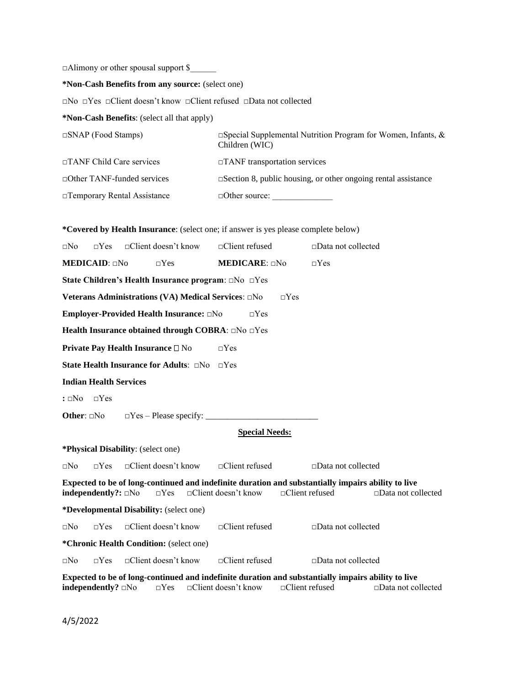$\Box$ Alimony or other spousal support \$

**\*Non-Cash Benefits from any source:** (select one)

□No □Yes □Client doesn't know □Client refused □Data not collected

**\*Non-Cash Benefits**: (select all that apply)

| $\Box$ SNAP (Food Stamps)          | $\Box$ Special Supplemental Nutrition Program for Women, Infants, &<br>Children (WIC) |
|------------------------------------|---------------------------------------------------------------------------------------|
| $\Box$ TANF Child Care services    | $\Box$ TANF transportation services                                                   |
| $\Box$ Other TANF-funded services  | $\square$ Section 8, public housing, or other ongoing rental assistance               |
| $\Box$ Temporary Rental Assistance | $\Box$ Other source:                                                                  |

**\*Covered by Health Insurance**: (select one; if answer is yes please complete below) □No □Yes □Client doesn't know □Client refused □Data not collected **MEDICAID**: □No □Yes **MEDICARE**: □No □Yes **State Children's Health Insurance program**: □No □Yes **Veterans Administrations (VA) Medical Services:** □No □Yes **Employer-Provided Health Insurance:** □No □Yes **Health Insurance obtained through COBRA**: □No □Yes **Private Pay Health Insurance** □ No □Yes **State Health Insurance for Adults**: □No □Yes **Indian Health Services :** □No □Yes **Other:**  $\Box$ No  $\Box$  Yes – Please specify: **Special Needs: \*Physical Disability**: (select one) □No □Yes □Client doesn't know □Client refused □Data not collected **Expected to be of long-continued and indefinite duration and substantially impairs ability to live independently?:** □No □Yes □Client doesn't know □Client refused □Data not collected **\*Developmental Disability:** (select one)  $\Box$ No  $\Box$ Yes  $\Box$ Client doesn't know  $\Box$ Client refused  $\Box$ Data not collected **\*Chronic Health Condition:** (select one) □No □Yes □Client doesn't know □Client refused □Data not collected **Expected to be of long-continued and indefinite duration and substantially impairs ability to live independently?** □No □Yes □Client doesn't know □Client refused □Data not collected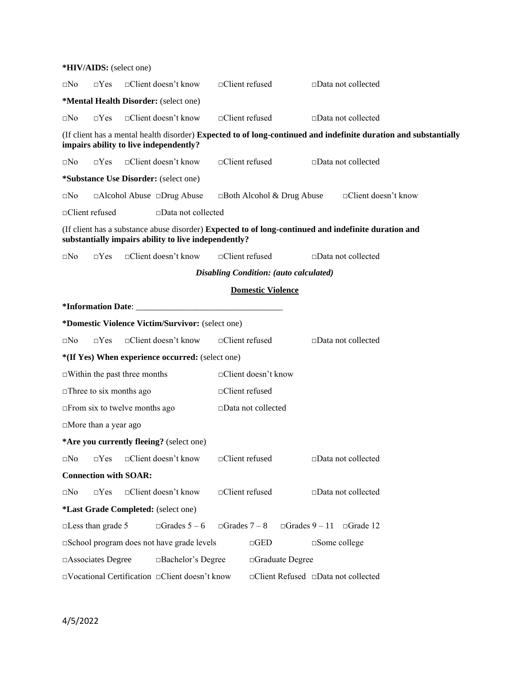| *HIV/AIDS: (select one)               |                                                                                                                                                              |                     |                          |                                               |                                      |                            |  |
|---------------------------------------|--------------------------------------------------------------------------------------------------------------------------------------------------------------|---------------------|--------------------------|-----------------------------------------------|--------------------------------------|----------------------------|--|
| ⊡No<br>$\neg Yes$                     | $\Box$ Client doesn't know                                                                                                                                   |                     | $\Box$ Client refused    |                                               | $\square$ Data not collected         |                            |  |
| *Mental Health Disorder: (select one) |                                                                                                                                                              |                     |                          |                                               |                                      |                            |  |
| $\neg Yes$<br>$\sqcap$ No             | $\Box$ Client doesn't know                                                                                                                                   |                     | $\Box$ Client refused    |                                               | $\Box$ Data not collected            |                            |  |
|                                       | (If client has a mental health disorder) Expected to of long-continued and indefinite duration and substantially<br>impairs ability to live independently?   |                     |                          |                                               |                                      |                            |  |
| $\square$ No<br>$\neg Yes$            | □Client doesn't know                                                                                                                                         |                     | □Client refused          |                                               | $\square$ Data not collected         |                            |  |
|                                       | <i>*Substance Use Disorder: (select one)</i>                                                                                                                 |                     |                          |                                               |                                      |                            |  |
| ⊡No                                   | □Alcohol Abuse □Drug Abuse                                                                                                                                   |                     |                          | $\Box$ Both Alcohol & Drug Abuse              |                                      | $\Box$ Client doesn't know |  |
| □Client refused                       | □Data not collected                                                                                                                                          |                     |                          |                                               |                                      |                            |  |
|                                       | (If client has a substance abuse disorder) Expected to of long-continued and indefinite duration and<br>substantially impairs ability to live independently? |                     |                          |                                               |                                      |                            |  |
| ⊡No<br>$\Box$ Yes                     | $\Box$ Client doesn't know                                                                                                                                   |                     | □Client refused          |                                               | $\Box$ Data not collected            |                            |  |
|                                       |                                                                                                                                                              |                     |                          | <b>Disabling Condition:</b> (auto calculated) |                                      |                            |  |
|                                       |                                                                                                                                                              |                     | <b>Domestic Violence</b> |                                               |                                      |                            |  |
|                                       |                                                                                                                                                              |                     |                          |                                               |                                      |                            |  |
|                                       | *Domestic Violence Victim/Survivor: (select one)                                                                                                             |                     |                          |                                               |                                      |                            |  |
| ⊡No<br>$\Box$ Yes                     | □Client doesn't know                                                                                                                                         |                     | □Client refused          |                                               | $\square$ Data not collected         |                            |  |
|                                       | *(If Yes) When experience occurred: (select one)                                                                                                             |                     |                          |                                               |                                      |                            |  |
|                                       | $\Box$ Within the past three months                                                                                                                          |                     | □Client doesn't know     |                                               |                                      |                            |  |
| $\Box$ Three to six months ago        |                                                                                                                                                              |                     | $\Box$ Client refused    |                                               |                                      |                            |  |
| $\Box$ From six to twelve months ago  |                                                                                                                                                              |                     | □Data not collected      |                                               |                                      |                            |  |
| $\Box$ More than a year ago           |                                                                                                                                                              |                     |                          |                                               |                                      |                            |  |
|                                       | *Are you currently fleeing? (select one)                                                                                                                     |                     |                          |                                               |                                      |                            |  |
| $\square$ No<br>$\Box$ Yes            | □Client doesn't know                                                                                                                                         |                     | □Client refused          |                                               | □Data not collected                  |                            |  |
| <b>Connection with SOAR:</b>          |                                                                                                                                                              |                     |                          |                                               |                                      |                            |  |
| $\Box Yes$<br>$\square$ No            | □Client doesn't know                                                                                                                                         |                     | □Client refused          |                                               | □Data not collected                  |                            |  |
|                                       | *Last Grade Completed: (select one)                                                                                                                          |                     |                          |                                               |                                      |                            |  |
| $\Box$ Less than grade 5              | $\Box$ Grades 5 – 6                                                                                                                                          | $\Box$ Grades 7 – 8 |                          |                                               | $\Box$ Grades 9 - 11 $\Box$ Grade 12 |                            |  |
|                                       | School program does not have grade levels                                                                                                                    |                     | $\Box$ GED               |                                               | $\square$ Some college               |                            |  |
|                                       | □Graduate Degree<br>□Associates Degree<br>□Bachelor's Degree                                                                                                 |                     |                          |                                               |                                      |                            |  |
|                                       | □Vocational Certification □ Client doesn't know                                                                                                              |                     |                          |                                               | □Client Refused □Data not collected  |                            |  |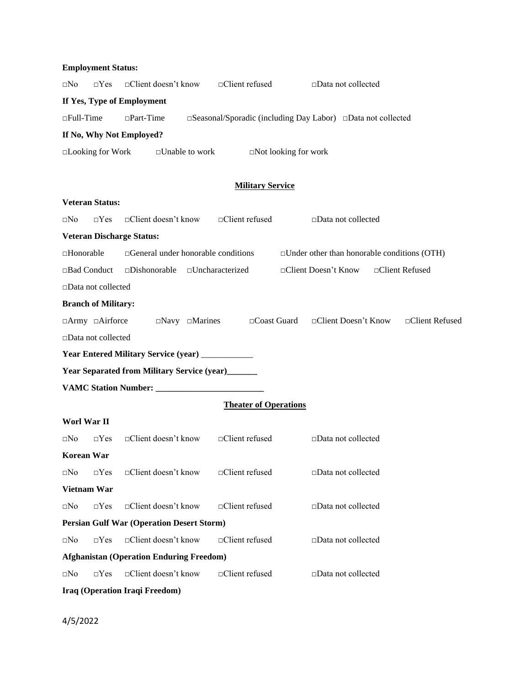|                  | $\square$ No $\square$ Yes $\square$ Client doesn't know | $\Box$ Client refused                                                          | $\Box$ Data not collected |
|------------------|----------------------------------------------------------|--------------------------------------------------------------------------------|---------------------------|
|                  | If Yes, Type of Employment                               |                                                                                |                           |
| $\Box$ Full-Time | $\Box$ Part-Time                                         | $\square$ Seasonal/Sporadic (including Day Labor) $\square$ Data not collected |                           |
|                  | If No. Why Not Employed?                                 |                                                                                |                           |
|                  |                                                          |                                                                                |                           |

□Looking for Work □Unable to work □Not looking for work

# **Military Service**

|                   | <b>Veteran Status:</b>       |                                                    |                              |                                                    |                 |
|-------------------|------------------------------|----------------------------------------------------|------------------------------|----------------------------------------------------|-----------------|
| $\square$ No      | $\neg Yes$                   | □Client doesn't know                               | □Client refused              | $\square$ Data not collected                       |                 |
|                   |                              | <b>Veteran Discharge Status:</b>                   |                              |                                                    |                 |
| □Honorable        |                              | $\Box$ General under honorable conditions          |                              | $\Box$ Under other than honorable conditions (OTH) |                 |
|                   | □Bad Conduct                 | $\square$ Dishonorable                             | $\Box$ Uncharacterized       | □Client Doesn't Know                               | □Client Refused |
|                   | $\square$ Data not collected |                                                    |                              |                                                    |                 |
|                   | <b>Branch of Military:</b>   |                                                    |                              |                                                    |                 |
|                   | $\Box$ Army $\Box$ Airforce  | $\Box$ Navy $\Box$ Marines                         | $\Box$ Coast Guard           | $\Box$ Client Doesn't Know                         | □Client Refused |
|                   | □Data not collected          |                                                    |                              |                                                    |                 |
|                   |                              | Year Entered Military Service (year) ___________   |                              |                                                    |                 |
|                   |                              | <b>Year Separated from Military Service (year)</b> |                              |                                                    |                 |
|                   |                              |                                                    |                              |                                                    |                 |
|                   |                              |                                                    | <b>Theater of Operations</b> |                                                    |                 |
| Worl War II       |                              |                                                    |                              |                                                    |                 |
| $\square$ No      | $\neg Yes$                   | □Client doesn't know                               | □Client refused              | □Data not collected                                |                 |
| <b>Korean War</b> |                              |                                                    |                              |                                                    |                 |
| $\square$ No      | $\neg Yes$                   | □Client doesn't know                               | □Client refused              | □Data not collected                                |                 |
|                   | <b>Vietnam War</b>           |                                                    |                              |                                                    |                 |
| $\square$ No      | $\Box$ Yes                   | □Client doesn't know                               | □Client refused              | □Data not collected                                |                 |
|                   |                              | <b>Persian Gulf War (Operation Desert Storm)</b>   |                              |                                                    |                 |
| $\square$ No      | $\Box$ Yes                   | □Client doesn't know                               | □Client refused              | □Data not collected                                |                 |
|                   |                              | <b>Afghanistan (Operation Enduring Freedom)</b>    |                              |                                                    |                 |
| $\square$ No      | $\neg Yes$                   | □Client doesn't know                               | $\Box$ Client refused        | □Data not collected                                |                 |
|                   |                              | Iraq (Operation Iraqi Freedom)                     |                              |                                                    |                 |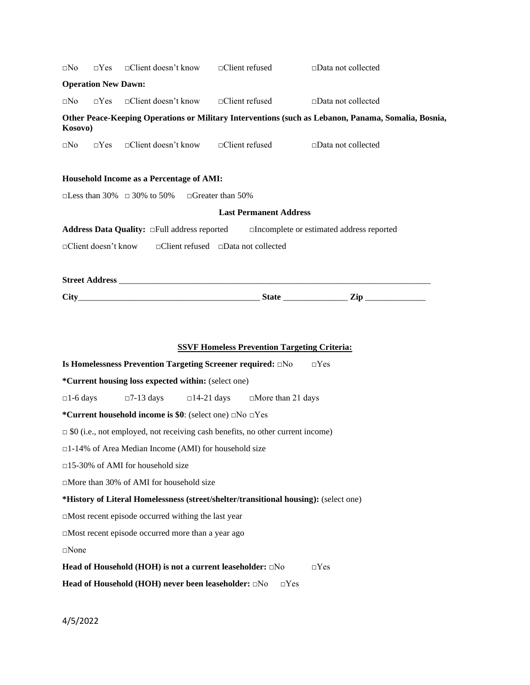| $\square$ No       |                            | $\Box$ Yes $\Box$ Client doesn't know $\Box$ Client refused                           |                                                     | $\square$ Data not collected                                                                        |
|--------------------|----------------------------|---------------------------------------------------------------------------------------|-----------------------------------------------------|-----------------------------------------------------------------------------------------------------|
|                    | <b>Operation New Dawn:</b> |                                                                                       |                                                     |                                                                                                     |
| $\square$ No       | $\neg Yes$                 | $\Box$ Client doesn't know $\Box$ Client refused                                      |                                                     | $\square$ Data not collected                                                                        |
| Kosovo)            |                            |                                                                                       |                                                     | Other Peace-Keeping Operations or Military Interventions (such as Lebanon, Panama, Somalia, Bosnia, |
|                    |                            | $\square$ No $\square$ Yes $\square$ Client doesn't know $\square$ Client refused     |                                                     | □Data not collected                                                                                 |
|                    |                            | Household Income as a Percentage of AMI:                                              |                                                     |                                                                                                     |
|                    |                            | $\square$ Less than 30% $\square$ 30% to 50% $\square$ Greater than 50%               |                                                     |                                                                                                     |
|                    |                            |                                                                                       | <b>Last Permanent Address</b>                       |                                                                                                     |
|                    |                            |                                                                                       |                                                     |                                                                                                     |
|                    |                            | <b>Address Data Quality:</b> $\Box$ Full address reported                             |                                                     | $\Box$ Incomplete or estimated address reported                                                     |
|                    |                            | $\Box$ Client doesn't know $\Box$ Client refused $\Box$ Data not collected            |                                                     |                                                                                                     |
|                    |                            |                                                                                       |                                                     |                                                                                                     |
|                    |                            |                                                                                       |                                                     |                                                                                                     |
|                    |                            |                                                                                       |                                                     |                                                                                                     |
|                    |                            |                                                                                       |                                                     |                                                                                                     |
|                    |                            |                                                                                       | <b>SSVF Homeless Prevention Targeting Criteria:</b> |                                                                                                     |
|                    |                            | Is Homelessness Prevention Targeting Screener required: $\square$ No                  |                                                     | $\Box$ Yes                                                                                          |
|                    |                            | <i>*</i> Current housing loss expected within: (select one)                           |                                                     |                                                                                                     |
| $\square$ 1-6 days |                            | $\Box$ 7-13 days                                                                      | $\Box$ 14-21 days $\Box$ More than 21 days          |                                                                                                     |
|                    |                            | *Current household income is \$0: (select one) $\Box$ No $\Box$ Yes                   |                                                     |                                                                                                     |
|                    |                            | $\Box$ \$0 (i.e., not employed, not receiving cash benefits, no other current income) |                                                     |                                                                                                     |
|                    |                            | □1-14% of Area Median Income (AMI) for household size                                 |                                                     |                                                                                                     |
|                    |                            | $\Box$ 15-30% of AMI for household size                                               |                                                     |                                                                                                     |
|                    |                            | $\Box$ More than 30% of AMI for household size                                        |                                                     |                                                                                                     |
|                    |                            | *History of Literal Homelessness (street/shelter/transitional housing): (select one)  |                                                     |                                                                                                     |
|                    |                            | $\Box$ Most recent episode occurred withing the last year                             |                                                     |                                                                                                     |
|                    |                            | $\Box$ Most recent episode occurred more than a year ago                              |                                                     |                                                                                                     |
| $\square$ None     |                            |                                                                                       |                                                     |                                                                                                     |
|                    |                            | Head of Household (HOH) is not a current leaseholder: □No                             |                                                     | $\Box$ Yes                                                                                          |
|                    |                            | Head of Household (HOH) never been leaseholder: $\square$ No                          | $\Box$ Yes                                          |                                                                                                     |
|                    |                            |                                                                                       |                                                     |                                                                                                     |
| 4/5/2022           |                            |                                                                                       |                                                     |                                                                                                     |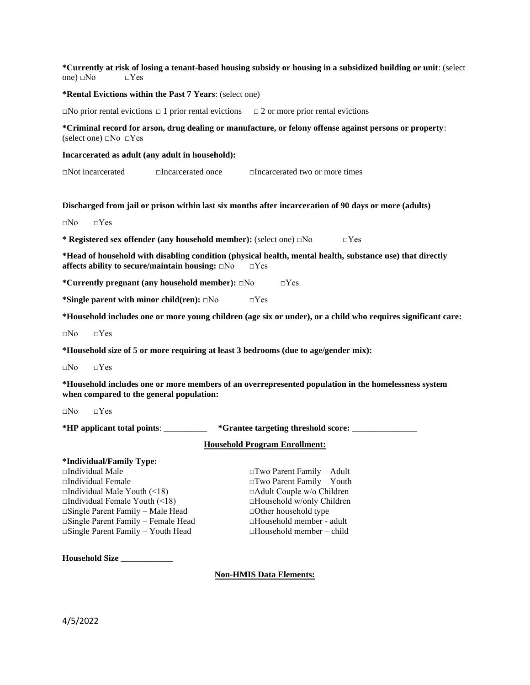## **\*Currently at risk of losing a tenant-based housing subsidy or housing in a subsidized building or unit**: (select one)  $\Box$ No  $\Box$ Yes

### **\*Rental Evictions within the Past 7 Years**: (select one)

 $\Box$ No prior rental evictions  $\Box$  1 prior rental evictions  $\Box$  2 or more prior rental evictions

**\*Criminal record for arson, drug dealing or manufacture, or felony offense against persons or property**: (select one)  $\square$ No  $\square$ Yes

#### **Incarcerated as adult (any adult in household):**

□Not incarcerated □Incarcerated once □Incarcerated two or more times

#### **Discharged from jail or prison within last six months after incarceration of 90 days or more (adults)**

 $\neg$ No  $\neg$ Yes

**\* Registered sex offender (any household member):** (select one) □No □Yes

**\*Head of household with disabling condition (physical health, mental health, substance use) that directly affects ability to secure/maintain housing:** □No □Yes

**\*Currently pregnant (any household member):** □No □Yes

**\*Single parent with minor child(ren):** □No □Yes

**\*Household includes one or more young children (age six or under), or a child who requires significant care:**

□No □Yes

**\*Household size of 5 or more requiring at least 3 bedrooms (due to age/gender mix):**

□No □Yes

**\*Household includes one or more members of an overrepresented population in the homelessness system when compared to the general population:**

□No □Yes

**\*HP applicant total points**: \_\_\_\_\_\_\_\_\_\_ **\*Grantee targeting threshold score:** \_\_\_\_\_\_\_\_\_\_\_\_\_\_\_

### **Household Program Enrollment:**

# **\*Individual/Family Type:**  □Individual Male □Two Parent Family – Adult □Individual Female □Two Parent Family – Youth □Individual Male Youth (<18) □Adult Couple w/o Children □Individual Female Youth (<18) □Household w/only Children  $\Box$ Single Parent Family – Male Head  $\Box$ Other household type □Single Parent Family – Female Head □Household member - adult □Single Parent Family – Youth Head □Household member – child

**Household Size \_\_\_\_\_\_\_\_\_\_\_\_**

### **Non-HMIS Data Elements:**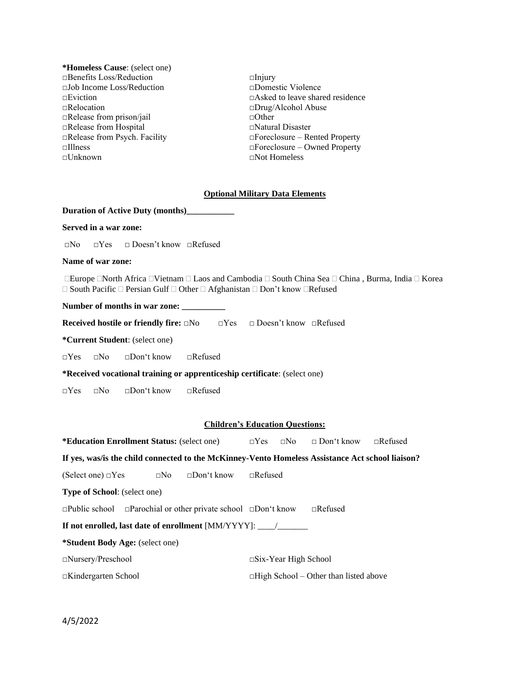- **\*Homeless Cause**: (select one) □Benefits Loss/Reduction □Injury □Job Income Loss/Reduction □Domestic Violence □Relocation □Drug/Alcohol Abuse □Release from prison/jail □Other □Release from Hospital □Natural Disaster
- □Eviction □Asked to leave shared residence □Release from Psych. Facility □Foreclosure – Rented Property □Illness □Foreclosure – Owned Property □Not Homeless

### **Optional Military Data Elements**

# **Duration of Active Duty (months)\_\_\_\_\_\_\_\_\_\_\_**

# **Served in a war zone:**

□No □Yes □ Doesn't know □Refused

## **Name of war zone:**

**Europe North Africa IVietnam II Laos and Cambodia II South China Sea II China, Burma, India II Korea**  $\Box$  South Pacific  $\Box$  Persian Gulf  $\Box$  Other  $\Box$  Afghanistan  $\Box$  Don't know  $\Box$  Refused

Number of months in war zone:

**Received hostile or friendly fire:** □No □Yes □ Doesn't know □Refused

**\*Current Student**: (select one)

□Yes □No □Don't know □Refused

**\*Received vocational training or apprenticeship certificate**: (select one)

□Yes □No □Don't know □Refused

#### **Children's Education Questions:**

| <b>*Education Enrollment Status:</b> (select one)                                                 |  |  | $\Box Yes \quad \Box No \quad \Box Don't know \quad \Box Refused$ |                                              |  |  |
|---------------------------------------------------------------------------------------------------|--|--|-------------------------------------------------------------------|----------------------------------------------|--|--|
| If yes, was/is the child connected to the McKinney-Vento Homeless Assistance Act school liaison?  |  |  |                                                                   |                                              |  |  |
| (Select one) $\Box$ Yes $\Box$ No $\Box$ Don't know $\Box$ Refused                                |  |  |                                                                   |                                              |  |  |
| <b>Type of School:</b> (select one)                                                               |  |  |                                                                   |                                              |  |  |
| $\Box$ Public school $\Box$ Parochial or other private school $\Box$ Don't know<br>$\Box$ Refused |  |  |                                                                   |                                              |  |  |
| <b>If not enrolled, last date of enrollment</b> [MM/YYYY]: /                                      |  |  |                                                                   |                                              |  |  |
| *Student Body Age: (select one)                                                                   |  |  |                                                                   |                                              |  |  |
| $\Box$ Nursery/Preschool                                                                          |  |  | $\square$ Six-Year High School                                    |                                              |  |  |
| $\Box$ Kindergarten School                                                                        |  |  |                                                                   | $\Box$ High School – Other than listed above |  |  |